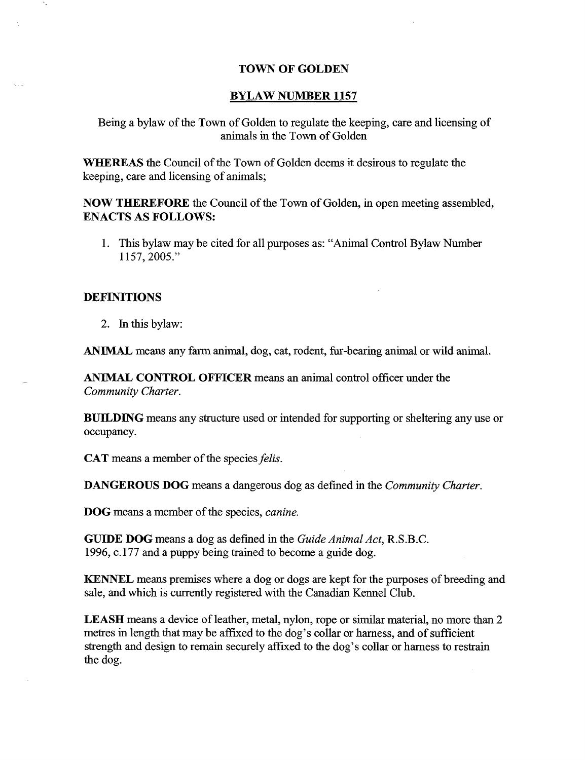#### **TOWN OF GOLDEN**

#### **BYLAW NUMBER 1157**

Being a bylaw of the Town of Golden to regulate the keeping, care and licensing of animals in the Town of Golden

**WHEREAS** the Council of the Town of Golden deems it desirous to regulate the keeping, care and licensing of animals;

**NOW THEREFORE** the Council of the Town of Golden, in open meeting assembled, **ENACTS** AS **FOLLOWS:**

1. This bylaw may be cited for all purposes as: "Animal Control Bylaw Number 1157, 2005."

#### **DEFINITIONS**

۰.

2. In this bylaw:

ANIMAL means any farm animal, dog, cat, rodent, fur-bearing animal or wild animal.

**ANIMAL CONTROL OFFICER** means an animal control officer under the *Community Charter.*

**BUILDING** means any structure used or intended for supporting or sheltering any use or occupancy.

CAT means a member of the species *felis.*

**DANGEROUS DOG** means a dangerous dog as defined in the *Community Charter.*

DOG means a member of the species, *canine.*

**GUIDE DOG** means a dog as defined in the *Guide Animal Act,* R.S.B.C. 1996, c.177 and a puppy being trained to become a guide dog.

KENNEL means premises where a dog or dogs are kept for the purposes of breeding and sale, and which is currently registered with the Canadian Kennel Club.

LEASH means a device of leather, metal, nylon, rope or similar material, no more than 2 metres in length that may be affixed to the dog's collar or harness, and of sufficient strength and design to remain securely affixed to the dog's collar or harness to restrain the dog.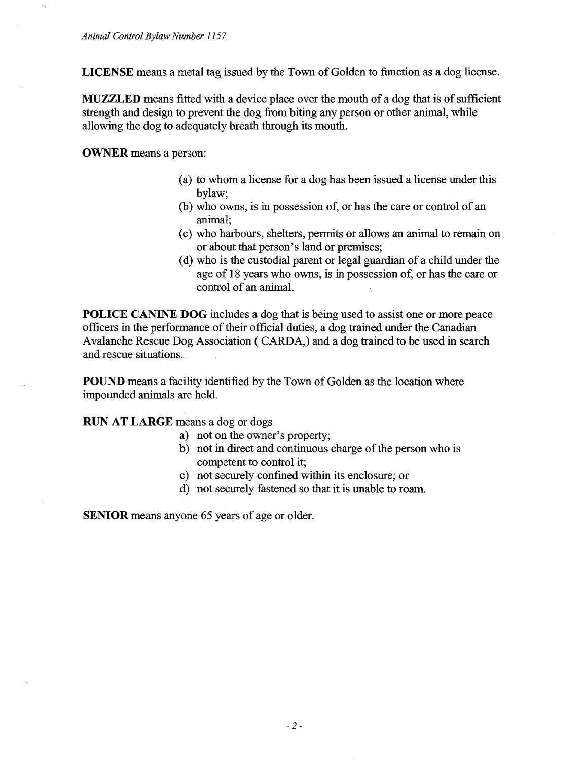LICENSE means a metal tag issued by the Town of Golden to function as a dog license.

MUZZLED means fitted with a device place over the mouth of a dog that is of sufficient strength and design to prevent the dog from biting any person or other animal, while allowing the dog to adequately breath through its mouth.

OWNER means a person:

- (a) to whom a license for a dog has been issued a license under this bylaw;
- (b) who owns, is in possession of, or has the care or control of an animal;
- (c) who harbours, shelters, permits or allows an animal to remain on or about that person's land or premises;
- (d) who is the custodial parent or legal guardian of a child under the age of 18 years who owns, is in possession of, or has the care or control of an animal.

**POLICE CANINE DOG** includes a dog that is being used to assist one or more peace officers in the performance of their official duties, a dog trained under the Canadian Avalanche Rescue Dog Association ( CARDA,) and a dog trained to be used in search and rescue situations.

POUND means a facility identified by the Town of Golden as the location where impounded animals are held.

### **RUN AT LARGE** means a dog or dogs

- a) not on the owner's property;
- b) not in direct and continuous charge of the person who is competent to control it;
- c) not securely confined within its enclosure; or
- d) not securely fastened so that it is unable to roam.

SENIOR means anyone 65 years of age or older.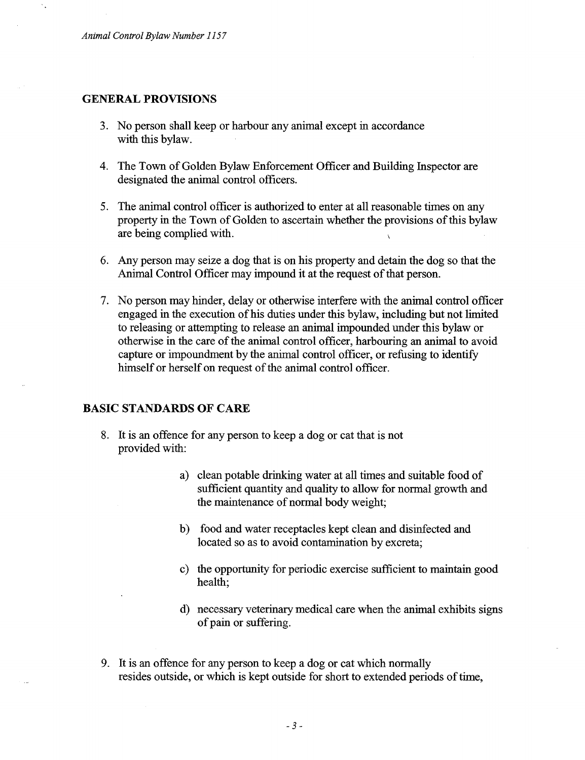#### **GENERAL PROVISIONS**

- 3. No person shall keep or harbour any animal except in accordance with this bylaw.
- 4. The Town of Golden Bylaw Enforcement Officer and Building Inspector are designated the animal control officers.
- 5. The animal control officer is authorized to enter at all reasonable times on any property in the Town of Golden to ascertain whether the provisions of this bylaw are being complied with.
- 6. Any person may seize a dog that is on his property and detain the dog so that the Animal Control Officer may impound it at the request of that person.
- 7. No person may hinder, delay or otherwise interfere with the animal control officer engaged in the execution of his duties under this bylaw, including but not limited to releasing or attempting to release an animal impounded under this bylaw or otherwise in the care of the animal control officer, harbouring an animal to avoid capture or impoundment by the animal control officer, or refusing to identify himself or herself on request of the animal control officer.

### **BASIC STANDARDS OF CARE**

- 8. It is an offence for any person to keep a dog or cat that is not provided with:
	- a) clean potable drinking water at all times and suitable food of sufficient quantity and quality to allow for normal growth and the maintenance of normal body weight;
	- b) food and water receptacles kept clean and disinfected and located so as to avoid contamination by excreta;
	- c) the opportunity for periodic exercise sufficient to maintain good health;
	- d) necessary veterinary medical care when the animal exhibits signs of pain or suffering.
- 9. It is an offence for any person to keep a dog or cat which normally resides outside, or which is kept outside for short to extended periods of time,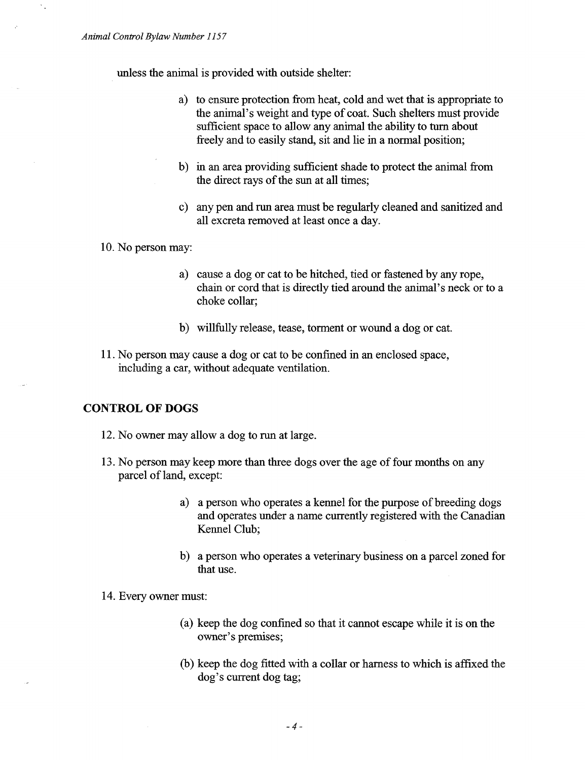unless the animal is provided with outside shelter:

- a) to ensure protection from heat, cold and wet that is appropriate to the animal's weight and type of coat. Such shelters must provide sufficient space to allow any animal the ability to turn about freely and to easily stand, sit and lie in a normal position;
- b) in an area providing sufficient shade to protect the animal from the direct rays of the sun at all times;
- c) any pen and run area must be regularly cleaned and sanitized and all excreta removed at least once a day.
- 10. No person may:
	- a) cause a dog or cat to be hitched, tied or fastened by any rope, chain or cord that is directly tied around the animal's neck or to a choke collar;
	- b) willfully release, tease, torment or wound a dog or cat.
- 11. No person may cause a dog or cat to be confined in an enclosed space, including a car, without adequate ventilation.

### **CONTROL OF DOGS**

- 12. No owner may allow a dog to run at large.
- 13. No person may keep more than three dogs over the age of four months on any parcel of land, except:
	- a) a person who operates a kennel for the purpose of breeding dogs and operates under a name currently registered with the Canadian Kennel Club;
	- b) a person who operates a veterinary business on a parcel zoned for that use.
- 14. Every owner must:
	- (a) keep the dog confined so that it cannot escape while it is on the owner's premises;
	- (b) keep the dog fitted with a collar or harness to which is affixed the dog's current dog tag;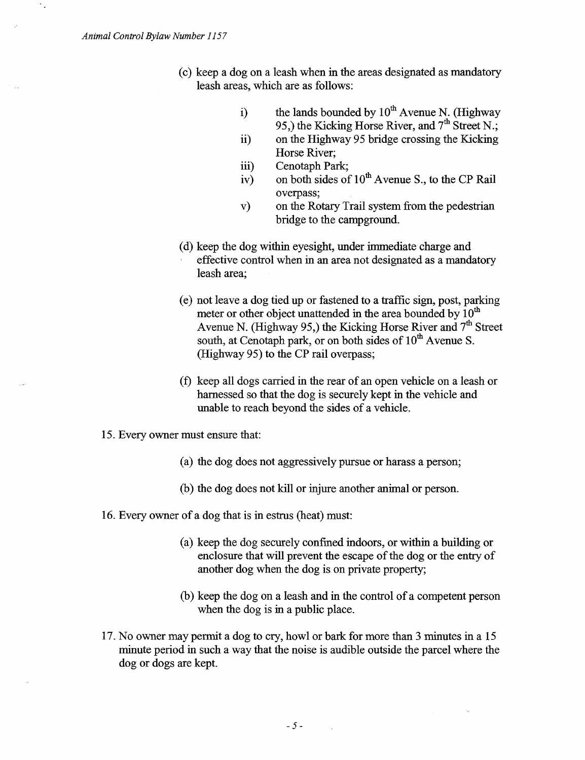$\gamma_{\rm s}$ 

- (c) keep a dog on a leash when in the areas designated as mandatory leash areas, which are as follows:
	- i) the lands bounded by  $10^{th}$  Avenue N. (Highway 95,) the Kicking Horse River, and  $7<sup>th</sup>$  Street N.;
	- ii) on the Highway 95 bridge crossing the Kicking Horse River;
	- iii) Cenotaph Park;
	- iv) on both sides of  $10^{th}$  Avenue S., to the CP Rail overpass;
	- v) on the Rotary Trail system from the pedestrian bridge to the campground.
- (d) keep the dog within eyesight, under immediate charge and effective control when in an area not designated as a mandatory leash area;
- (e) not leave a dog tied up or fastened to a traffic sign, post, parking meter or other object unattended in the area bounded by  $10<sup>th</sup>$ Avenue N. (Highway 95,) the Kicking Horse River and  $7<sup>th</sup>$  Street south, at Cenotaph park, or on both sides of  $10^{th}$  Avenue S. (Highway 95) to the CP rail overpass;
- (f) keep all dogs carried in the rear of an open vehicle on a leash or harnessed so that the dog is securely kept in the vehicle and unable to reach beyond the sides of a vehicle.
- 15. Every owner must ensure that:
	- (a) the dog does not aggressively pursue or harass a person;
	- (b) the dog does not kill or injure another animal or person.
- 16. Every owner of a dog that is in estrus (heat) must:
	- (a) keep the dog securely confined indoors, or within a building or enclosure that will prevent the escape of the dog or the entry of another dog when the dog is on private property;
	- (b) keep the dog on a leash and in the control of a competent person when the dog is in a public place.
- 17. No owner may permit a dog to cry, howl or bark for more than 3 minutes in a 15 minute period in such a way that the noise is audible outside the parcel where the dog or dogs are kept.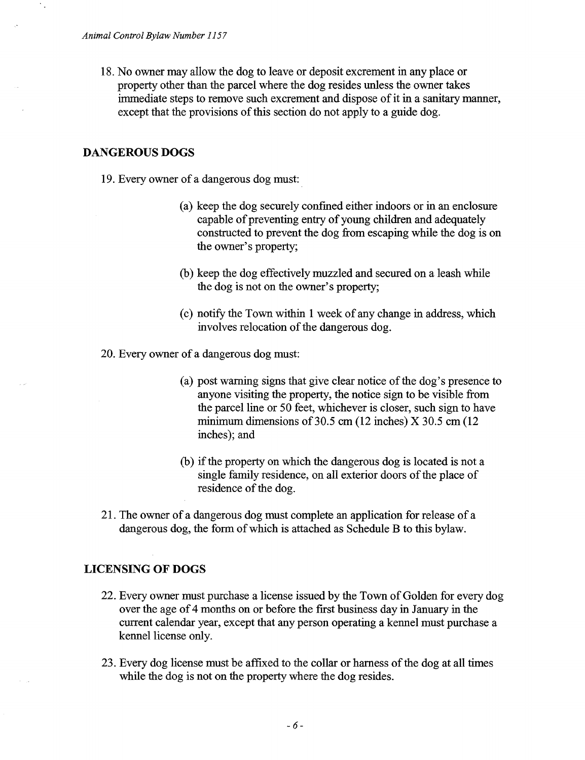18. No owner may allow the dog to leave or deposit excrement in any place or property other than the parcel where the dog resides unless the owner takes immediate steps to remove such excrement and dispose of it in a sanitary manner, except that the provisions of this section do not apply to a guide dog.

### **DANGEROUS DOGS**

- 19. Every owner of a dangerous dog must:
	- (a) keep the dog securely confined either indoors or in an enclosure capable of preventing entry of young children and adequately constructed to prevent the dog from escaping while the dog is on the owner's property;
	- (b) keep the dog effectively muzzled and secured on a leash while the dog is not on the owner's property;
	- (c) notify the Town within 1 week of any change in address, which involves relocation of the dangerous dog.
- 20. Every owner of a dangerous dog must:
	- (a) post warning signs that give clear notice of the dog's presence to anyone visiting the property, the notice sign to be visible from the parcel line or 50 feet, whichever is closer, such sign to have minimum dimensions of 30.5 cm (12 inches) X 30.5 cm (12 inches); and
	- (b) if the property on which the dangerous dog is located is not a single family residence, on all exterior doors of the place of residence of the dog.
- 21. The owner of a dangerous dog must complete an application for release of a dangerous dog, the form of which is attached as Schedule B to this bylaw.

## **LICENSING OF DOGS**

- 22. Every owner must purchase a license issued by the Town of Golden for every dog over the age of 4 months on or before the first business day in January in the current calendar year, except that any person operating a kennel must purchase a kennel license only.
- 23. Every dog license must be affixed to the collar or harness of the dog at all times while the dog is not on the property where the dog resides.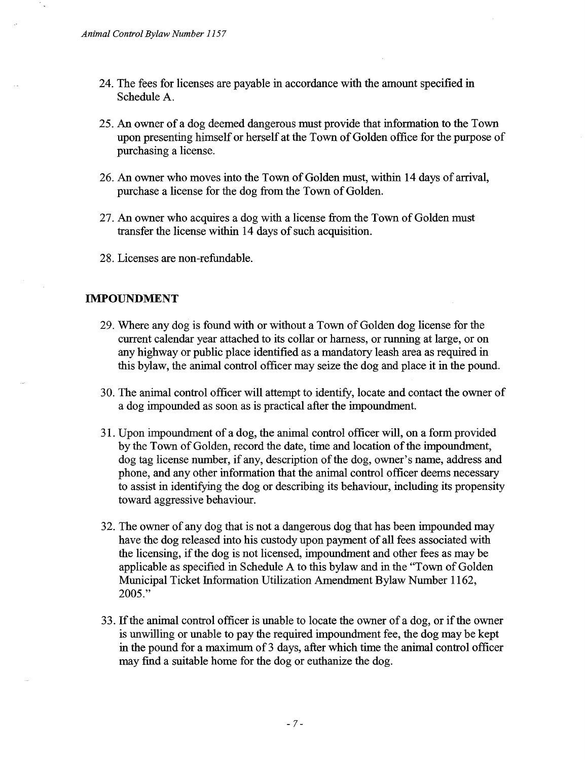- 24. The fees for licenses are payable in accordance with the amount specified in Schedule A.
- 25. An owner of a dog deemed dangerous must provide that information to the Town upon presenting himself or herself at the Town of Golden office for the purpose of purchasing a license.
- 26. An owner who moves into the Town of Golden must, within 14 days of arrival, purchase a license for the dog from the Town of Golden.
- 27. An owner who acquires a dog with a license from the Town of Golden must transfer the license within 14 days of such acquisition.
- 28. Licenses are non-refundable.

### **IMPOUNDMENT**

- 29. Where any dog is found with or without a Town of Golden dog license for the current calendar year attached to its collar or harness, or running at large, or on any highway or public place identified as a mandatory leash area as required in this bylaw, the animal control officer may seize the dog and place it in the pound.
- 30. The animal control officer will attempt to identify, locate and contact the owner of a dog impounded as soon as is practical after the impoundment.
- 31. Upon impoundment of a dog, the animal control officer will, on a form provided by the Town of Golden, record the date, time and location of the impoundment, dog tag license number, if any, description of the dog, owner's name, address and phone, and any other information that the animal control officer deems necessary to assist in identifying the dog or describing its behaviour, including its propensity toward aggressive behaviour.
- 32. The owner of any dog that is not a dangerous dog that has been impounded may have the dog released into his custody upon payment of all fees associated with the licensing, if the dog is not licensed, impoundment and other fees as may be applicable as specified in Schedule A to this bylaw and in the "Town of Golden Municipal Ticket Information Utilization Amendment Bylaw Number 1162, 2005."
- 33. If the animal control officer is unable to locate the owner of a dog, or if the owner is unwilling or unable to pay the required impoundment fee, the dog may be kept in the pound for a maximum of 3 days, after which time the animal control officer may find a suitable home for the dog or euthanize the dog.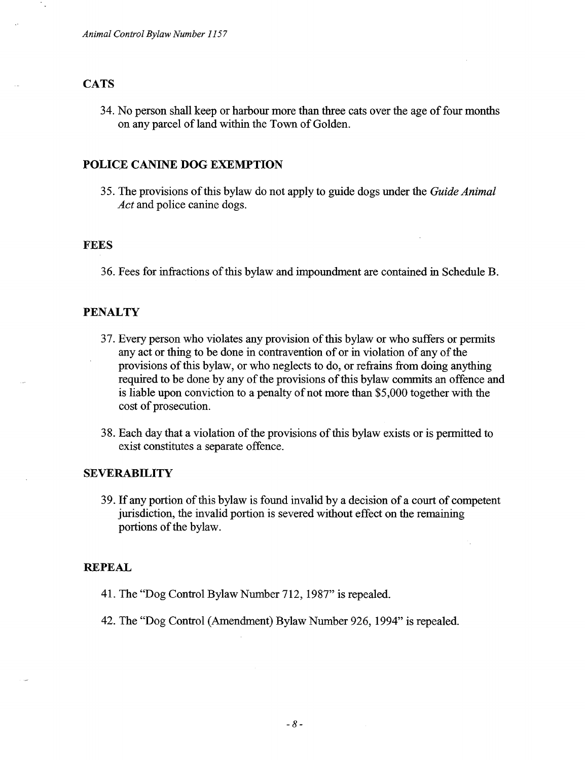#### **CATS**

34. No person shall keep or harbour more than three cats over the age of four months on any parcel of land within the Town of Golden.

### **POLICE CANINE DOG EXEMPTION**

35. The provisions of this bylaw do not apply to guide dogs under the *Guide Animal Act* and police canine dogs.

#### **FEES**

36. Fees for infractions of this bylaw and impoundment are contained in Schedule B.

#### **PENALTY**

- 37. Every person who violates any provision of this bylaw or who suffers or permits any act or thing to be done in contravention of or in violation of any of the provisions of this bylaw, or who neglects to do, or refrains from doing anything required to be done by any of the provisions of this bylaw commits an offence and is liable upon conviction to a penalty of not more than \$5,000 together with the cost of prosecution.
- 38. Each day that a violation of the provisions of this bylaw exists or is permitted to exist constitutes a separate offence.

### **SEVERABILITY**

39. If any portion of this bylaw is found invalid by a decision of a court of competent jurisdiction, the invalid portion is severed without effect on the remaining portions of the bylaw.

#### **REPEAL**

- 41. The "Dog Control Bylaw Number 712, 1987" is repealed.
- 42. The "Dog Control (Amendment) Bylaw Number 926, 1994" is repealed.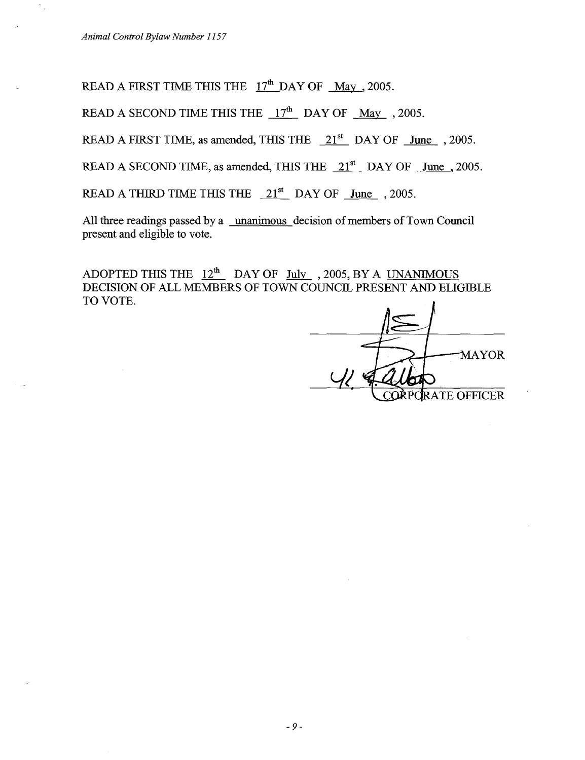*Animal Control Bylaw Number 1157*

READ A FIRST TIME THIS THE  $17<sup>th</sup>$  DAY OF May , 2005.

READ A SECOND TIME THIS THE  $17<sup>th</sup>$  DAY OF May , 2005.

READ A FIRST TIME, as amended, THIS THE  $21<sup>st</sup>$  DAY OF June , 2005.

READ A SECOND TIME, as amended, THIS THE  $21<sup>st</sup>$  DAY OF June , 2005.

READ A THIRD TIME THIS THE  $21<sup>st</sup>$  DAY OF June , 2005.

All three readings passed by a unanimous decision of members of Town Council present and eligible to vote.

ADOPTED THIS THE  $12<sup>th</sup>$  DAY OF July , 2005, BY A UNANIMOUS DECISION OF ALL MEMBERS OF TOWN COUNCIL PRESENT AND ELIGIBLE TO VOTE.

**MAYOR** C**OÀ**PORATE OFFICER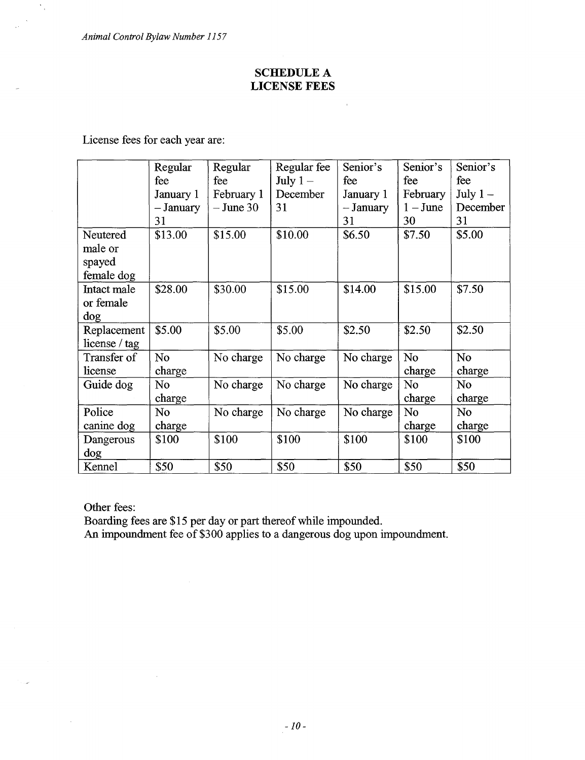*Animal Control Bylaw Number 1157*

 $\frac{1}{\sqrt{2}}$ 

# **SCHEDULE A LICENSE FEES**

License fees for each year are:

|               | Regular     | Regular     | Regular fee | Senior's  | Senior's       | Senior's       |
|---------------|-------------|-------------|-------------|-----------|----------------|----------------|
|               | fee         | fee         | July $1-$   | fee       | fee            | fee            |
|               | January 1   | February 1  | December    | January 1 | February       | July $1-$      |
|               | $-$ January | $-$ June 30 | 31          | - January | $1 -$ June     | December       |
|               | 31          |             |             | 31        | 30             | 31             |
| Neutered      | \$13.00     | \$15.00     | \$10.00     | \$6.50    | \$7.50         | \$5.00         |
| male or       |             |             |             |           |                |                |
| spayed        |             |             |             |           |                |                |
| female dog    |             |             |             |           |                |                |
| Intact male   | \$28.00     | \$30.00     | \$15.00     | \$14.00   | \$15.00        | \$7.50         |
| or female     |             |             |             |           |                |                |
| dog           |             |             |             |           |                |                |
| Replacement   | \$5.00      | \$5.00      | \$5.00      | \$2.50    | \$2.50         | \$2.50         |
| license / tag |             |             |             |           |                |                |
| Transfer of   | No          | No charge   | No charge   | No charge | N <sub>o</sub> | N <sub>o</sub> |
| license       | charge      |             |             |           | charge         | charge         |
| Guide dog     | No          | No charge   | No charge   | No charge | No             | No.            |
|               | charge      |             |             |           | charge         | charge         |
| Police        | No.         | No charge   | No charge   | No charge | N <sub>o</sub> | No.            |
| canine dog    | charge      |             |             |           | charge         | charge         |
| Dangerous     | \$100       | \$100       | \$100       | \$100     | \$100          | \$100          |
| dog           |             |             |             |           |                |                |
| Kennel        | \$50        | \$50        | \$50        | \$50      | \$50           | \$50           |

Other fees:

 $\bar{z}$ 

Boarding fees are \$15 per day or part thereof while impounded.

An impoundment fee of \$300 applies to a dangerous dog upon impoundment.